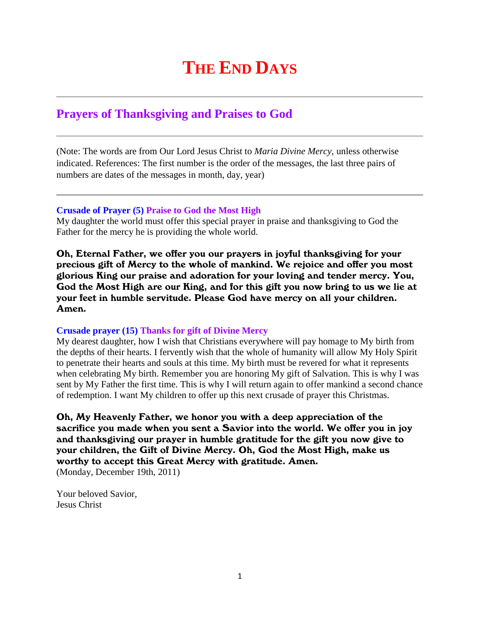# **THE END DAYS**

# **Prayers of Thanksgiving and Praises to God**

(Note: The words are from Our Lord Jesus Christ to *Maria Divine Mercy*, unless otherwise indicated. References: The first number is the order of the messages, the last three pairs of numbers are dates of the messages in month, day, year)

#### **Crusade of Prayer (5) Praise to God the Most High**

My daughter the world must offer this special prayer in praise and thanksgiving to God the Father for the mercy he is providing the whole world.

Oh, Eternal Father, we offer you our prayers in joyful thanksgiving for your precious gift of Mercy to the whole of mankind. We rejoice and offer you most glorious King our praise and adoration for your loving and tender mercy. You, God the Most High are our King, and for this gift you now bring to us we lie at your feet in humble servitude. Please God have mercy on all your children. Amen.

## **Crusade prayer (15) Thanks for gift of Divine Mercy**

My dearest daughter, how I wish that Christians everywhere will pay homage to My birth from the depths of their hearts. I fervently wish that the whole of humanity will allow My Holy Spirit to penetrate their hearts and souls at this time. My birth must be revered for what it represents when celebrating My birth. Remember you are honoring My gift of Salvation. This is why I was sent by My Father the first time. This is why I will return again to offer mankind a second chance of redemption. I want My children to offer up this next crusade of prayer this Christmas.

Oh, My Heavenly Father, we honor you with a deep appreciation of the sacrifice you made when you sent a Savior into the world. We offer you in joy and thanksgiving our prayer in humble gratitude for the gift you now give to your children, the Gift of Divine Mercy. Oh, God the Most High, make us worthy to accept this Great Mercy with gratitude. Amen. (Monday, December 19th, 2011)

Your beloved Savior, Jesus Christ